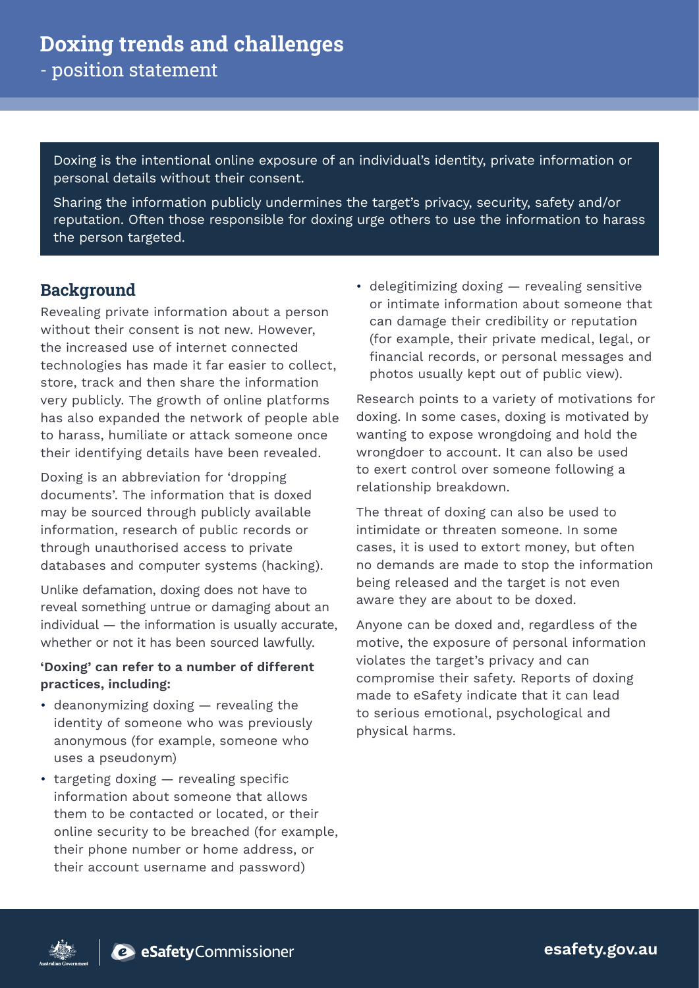Doxing is the intentional online exposure of an individual's identity, private information or personal details without their consent.

Sharing the information publicly undermines the target's privacy, security, safety and/or reputation. Often those responsible for doxing urge others to use the information to harass the person targeted.

### **Background**

Revealing private information about a person without their consent is not new. However, the increased use of internet connected technologies has made it far easier to collect, store, track and then share the information very publicly. The growth of online platforms has also expanded the network of people able to harass, humiliate or attack someone once their identifying details have been revealed.

Doxing is an abbreviation for 'dropping documents'. The information that is doxed may be sourced through publicly available information, research of public records or through unauthorised access to private databases and computer systems (hacking).

Unlike defamation, doxing does not have to reveal something untrue or damaging about an individual — the information is usually accurate, whether or not it has been sourced lawfully.

### **'Doxing' can refer to a number of different practices, including:**

- deanonymizing doxing revealing the identity of someone who was previously anonymous (for example, someone who uses a pseudonym)
- targeting doxing revealing specific information about someone that allows them to be contacted or located, or their online security to be breached (for example, their phone number or home address, or their account username and password)

• delegitimizing doxing — revealing sensitive or intimate information about someone that can damage their credibility or reputation (for example, their private medical, legal, or financial records, or personal messages and photos usually kept out of public view).

Research points to a variety of motivations for doxing. In some cases, doxing is motivated by wanting to expose wrongdoing and hold the wrongdoer to account. It can also be used to exert control over someone following a relationship breakdown.

The threat of doxing can also be used to intimidate or threaten someone. In some cases, it is used to extort money, but often no demands are made to stop the information being released and the target is not even aware they are about to be doxed.

Anyone can be doxed and, regardless of the motive, the exposure of personal information violates the target's privacy and can compromise their safety. Reports of doxing made to eSafety indicate that it can lead to serious emotional, psychological and physical harms.



esafety.gov.au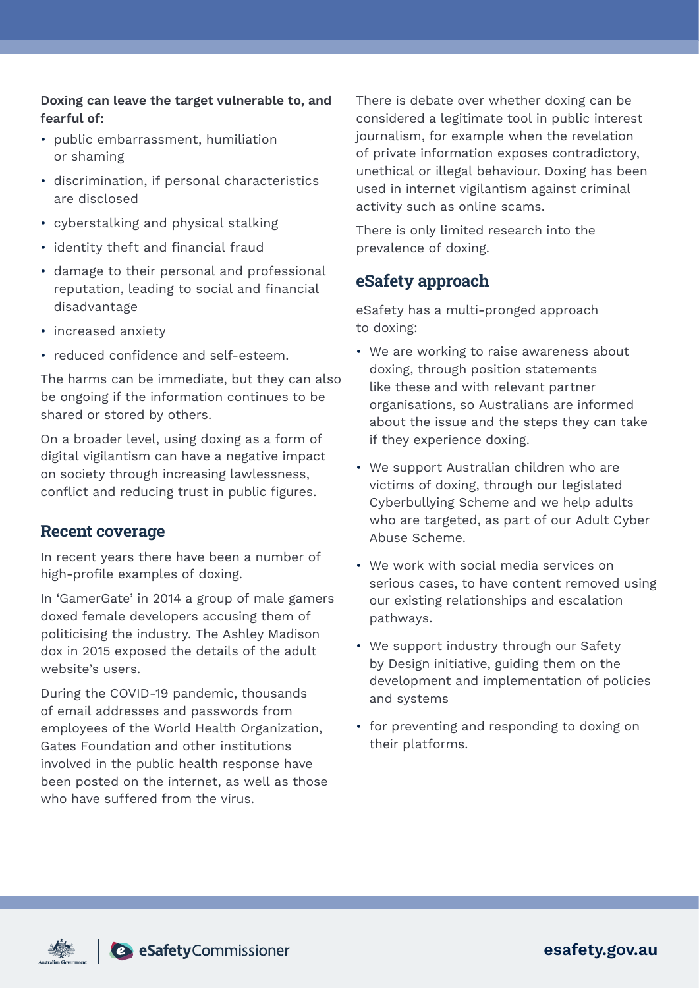### **Doxing can leave the target vulnerable to, and fearful of:**

- public embarrassment, humiliation or shaming
- discrimination, if personal characteristics are disclosed
- cyberstalking and physical stalking
- identity theft and financial fraud
- damage to their personal and professional reputation, leading to social and financial disadvantage
- increased anxiety
- reduced confidence and self-esteem.

The harms can be immediate, but they can also be ongoing if the information continues to be shared or stored by others.

On a broader level, using doxing as a form of digital vigilantism can have a negative impact on society through increasing lawlessness, conflict and reducing trust in public figures.

### **Recent coverage**

In recent years there have been a number of high-profile examples of doxing.

In 'GamerGate' in 2014 a group of male gamers doxed female developers accusing them of politicising the industry. The Ashley Madison dox in 2015 exposed the details of the adult website's users.

During the COVID-19 pandemic, thousands of email addresses and passwords from employees of the World Health Organization, Gates Foundation and other institutions involved in the public health response have been posted on the internet, as well as those who have suffered from the virus.

There is debate over whether doxing can be considered a legitimate tool in public interest journalism, for example when the revelation of private information exposes contradictory, unethical or illegal behaviour. Doxing has been used in internet vigilantism against criminal activity such as online scams.

There is only limited research into the prevalence of doxing.

## **eSafety approach**

eSafety has a multi-pronged approach to doxing:

- We are working to raise awareness about doxing, through position statements like these and with relevant partner organisations, so Australians are informed about the issue and the steps they can take if they experience doxing.
- We support Australian children who are victims of doxing, through our legislated Cyberbullying Scheme and we help adults who are targeted, as part of our Adult Cyber Abuse Scheme.
- We work with social media services on serious cases, to have content removed using our existing relationships and escalation pathways.
- We support industry through our Safety by Design initiative, guiding them on the development and implementation of policies and systems
- for preventing and responding to doxing on their platforms.





esafety.gov.au